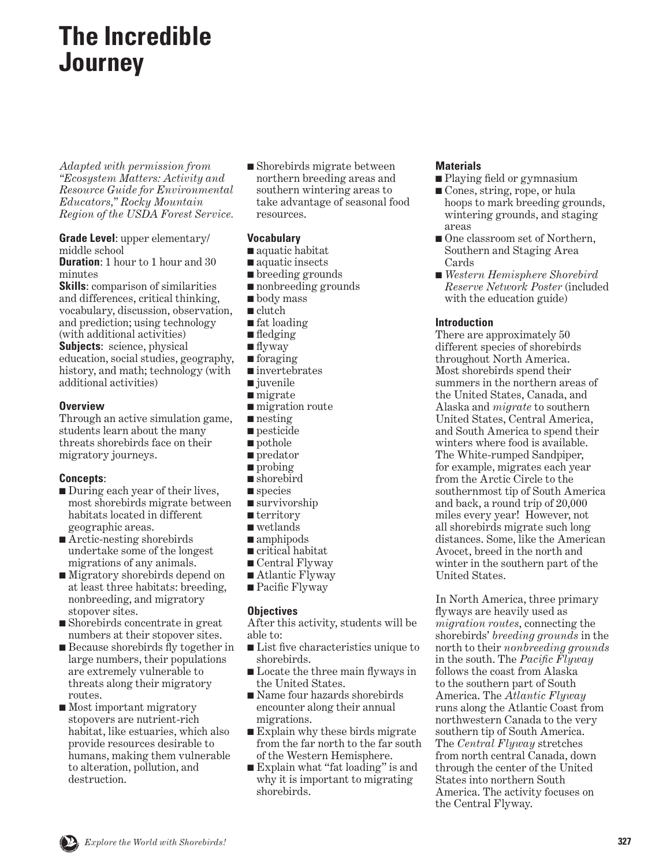# **The Incredible Journey**

*Adapted with permission from "Ecosystem Matters: Activity and Resource Guide for Environmental Educators," Rocky Mountain Region of the USDA Forest Service.*

**Grade Level**: upper elementary/ middle school

**Duration:** 1 hour to 1 hour and 30 minutes

**Skills**: comparison of similarities and differences, critical thinking, vocabulary, discussion, observation, and prediction; using technology (with additional activities) **Subjects:** science, physical education, social studies, geography, history, and math; technology (with additional activities)

### **Overview**

Through an active simulation game, students learn about the many threats shorebirds face on their migratory journeys.

## **Concepts**:

- During each year of their lives, most shorebirds migrate between habitats located in different geographic areas.
- Arctic-nesting shorebirds undertake some of the longest migrations of any animals.
- Migratory shorebirds depend on at least three habitats: breeding, nonbreeding, and migratory stopover sites.
- Shorebirds concentrate in great numbers at their stopover sites.
- Because shorebirds fly together in large numbers, their populations are extremely vulnerable to threats along their migratory routes.
- Most important migratory stopovers are nutrient-rich habitat, like estuaries, which also provide resources desirable to humans, making them vulnerable to alteration, pollution, and destruction.

■ Shorebirds migrate between northern breeding areas and southern wintering areas to take advantage of seasonal food resources.

### **Vocabulary**

- aquatic habitat
- aquatic insects
- breeding grounds
- nonbreeding grounds
- body mass
- clutch
- fat loading ■ fledging
- flyway
- foraging
- invertebrates
- juvenile
- migrate
- migration route
- nesting
- pesticide
- pothole
- predator
- probing
- shorebird
- species
- survivorship
- territory
- wetlands
- amphipods
- critical habitat ■ Central Flyway
- Atlantic Flyway
- Pacific Flyway

## **Objectives**

After this activity, students will be able to:

- List five characteristics unique to shorebirds.
- Locate the three main flyways in the United States.
- Name four hazards shorebirds encounter along their annual migrations.
- Explain why these birds migrate from the far north to the far south of the Western Hemisphere.
- Explain what "fat loading" is and why it is important to migrating shorebirds.

#### **Materials**

- Playing field or gymnasium
- Cones, string, rope, or hula hoops to mark breeding grounds, wintering grounds, and staging areas
- One classroom set of Northern, Southern and Staging Area Cards
- *Western Hemisphere Shorebird Reserve Network Poster* (included with the education guide)

### **Introduction**

There are approximately 50 different species of shorebirds throughout North America. Most shorebirds spend their summers in the northern areas of the United States, Canada, and Alaska and *migrate* to southern United States, Central America, and South America to spend their winters where food is available. The White-rumped Sandpiper, for example, migrates each year from the Arctic Circle to the southernmost tip of South America and back, a round trip of 20,000 miles every year! However, not all shorebirds migrate such long distances. Some, like the American Avocet, breed in the north and winter in the southern part of the United States.

In North America, three primary flyways are heavily used as *migration routes*, connecting the shorebirds' *breeding grounds* in the north to their *nonbreeding grounds* in the south. The *Pacific Flyway* follows the coast from Alaska to the southern part of South America. The *Atlantic Flyway* runs along the Atlantic Coast from northwestern Canada to the very southern tip of South America. The *Central Flyway* stretches from north central Canada, down through the center of the United States into northern South America. The activity focuses on the Central Flyway.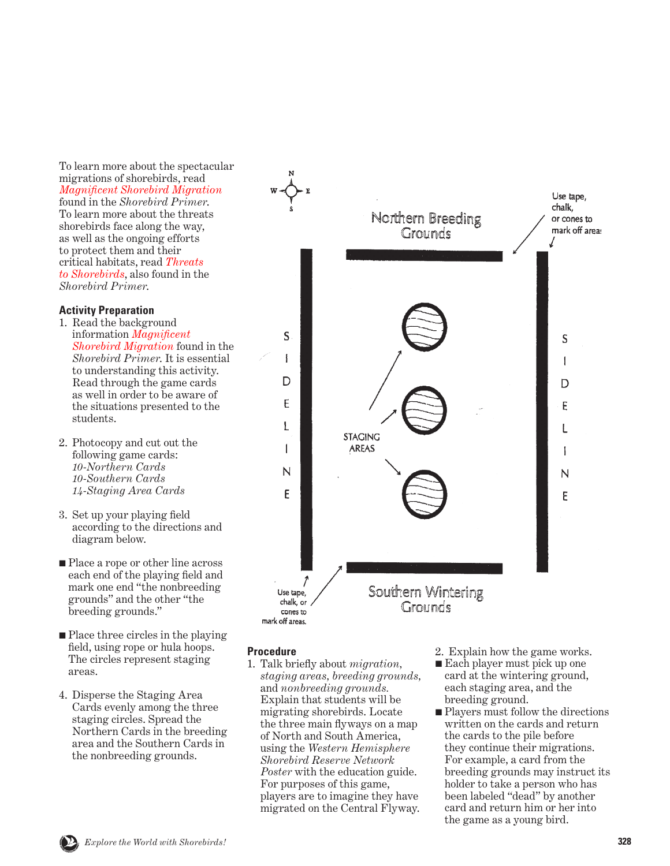To learn more about the spectacular migrations of shorebirds, read *[Magnificent Shorebird Migration](#page-14-0)* found in the *Shorebird Primer*. To learn more about the threats shorebirds face along the way, as well as the ongoing efforts to protect them and their [critical habitats, read](#page-31-0) *Threats to Shorebirds*, also found in the *Shorebird Primer*.

#### **Activity Preparation**

- 1. Read the background information *[Magnificent](#page-14-0) Shorebird Migration* found in the *Shorebird Primer*. It is essential to understanding this activity. Read through the game cards as well in order to be aware of the situations presented to the students.
- 2. Photocopy and cut out the following game cards: *10-Northern Cards 10-Southern Cards 14-Staging Area Cards*
- 3. Set up your playing field according to the directions and diagram below.
- Place a rope or other line across each end of the playing field and mark one end "the nonbreeding grounds" and the other "the breeding grounds."
- Place three circles in the playing field, using rope or hula hoops. The circles represent staging areas.
- 4. Disperse the Staging Area Cards evenly among the three staging circles. Spread the Northern Cards in the breeding area and the Southern Cards in the nonbreeding grounds.



#### **Procedure**

- 1. Talk briefly about *migration, staging areas, breeding grounds,* and *nonbreeding grounds.*  Explain that students will be migrating shorebirds. Locate the three main flyways on a map of North and South America, using the *Western Hemisphere Shorebird Reserve Network Poster* with the education guide. For purposes of this game, players are to imagine they have migrated on the Central Flyway.
- 2. Explain how the game works.
- Each player must pick up one card at the wintering ground, each staging area, and the breeding ground.
- Players must follow the directions written on the cards and return the cards to the pile before they continue their migrations. For example, a card from the breeding grounds may instruct its holder to take a person who has been labeled "dead" by another card and return him or her into the game as a young bird.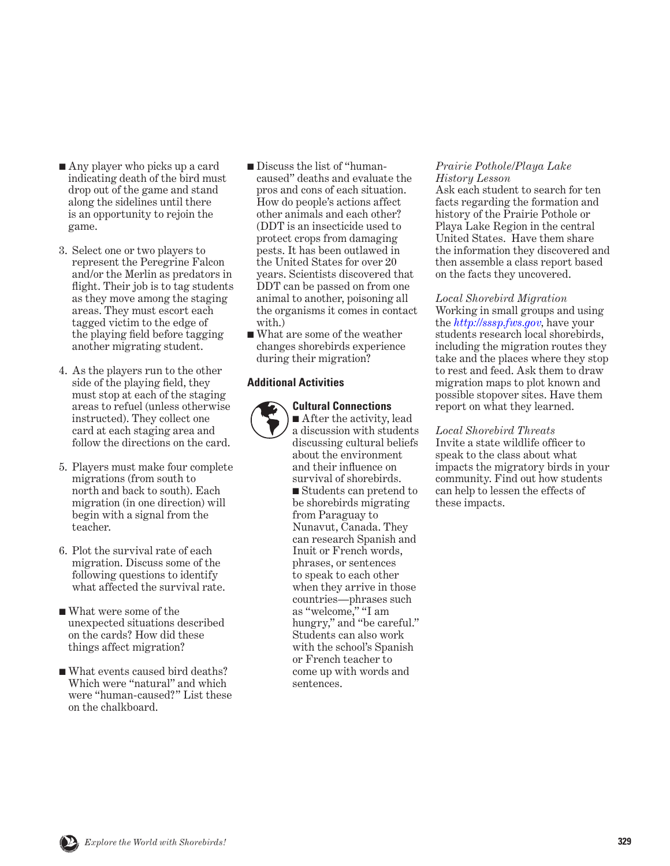- Any player who picks up a card indicating death of the bird must drop out of the game and stand along the sidelines until there is an opportunity to rejoin the game.
- 3. Select one or two players to represent the Peregrine Falcon and/or the Merlin as predators in flight. Their job is to tag students as they move among the staging areas. They must escort each tagged victim to the edge of the playing field before tagging another migrating student.
- 4. As the players run to the other side of the playing field, they must stop at each of the staging areas to refuel (unless otherwise instructed). They collect one card at each staging area and follow the directions on the card.
- 5. Players must make four complete migrations (from south to north and back to south). Each migration (in one direction) will begin with a signal from the teacher.
- 6. Plot the survival rate of each migration. Discuss some of the following questions to identify what affected the survival rate.
- What were some of the unexpected situations described on the cards? How did these things affect migration?
- What events caused bird deaths? Which were "natural" and which were "human-caused?" List these on the chalkboard.
- Discuss the list of "humancaused" deaths and evaluate the pros and cons of each situation. How do people's actions affect other animals and each other? (DDT is an insecticide used to protect crops from damaging pests. It has been outlawed in the United States for over 20 years. Scientists discovered that DDT can be passed on from one animal to another, poisoning all the organisms it comes in contact with.)
- What are some of the weather changes shorebirds experience during their migration?

### **Additional Activities**

### **Cultural Connections**

■ After the activity, lead a discussion with students discussing cultural beliefs about the environment and their influence on survival of shorebirds. ■ Students can pretend to be shorebirds migrating from Paraguay to Nunavut, Canada. They can research Spanish and Inuit or French words, phrases, or sentences to speak to each other when they arrive in those countries—phrases such as "welcome," "I am hungry," and "be careful." Students can also work with the school's Spanish or French teacher to come up with words and sentences.

#### *Prairie Pothole/Playa Lake History Lesson*

Ask each student to search for ten facts regarding the formation and history of the Prairie Pothole or Playa Lake Region in the central United States. Have them share the information they discovered and then assemble a class report based on the facts they uncovered.

### *Local Shorebird Migration*

Working in small groups and using the *[http://sssp.fws.gov,]( http://sssp.fws.gov )* have your students research local shorebirds, including the migration routes they take and the places where they stop to rest and feed. Ask them to draw migration maps to plot known and possible stopover sites. Have them report on what they learned.

## *Local Shorebird Threats*

Invite a state wildlife officer to speak to the class about what impacts the migratory birds in your community. Find out how students can help to lessen the effects of these impacts.

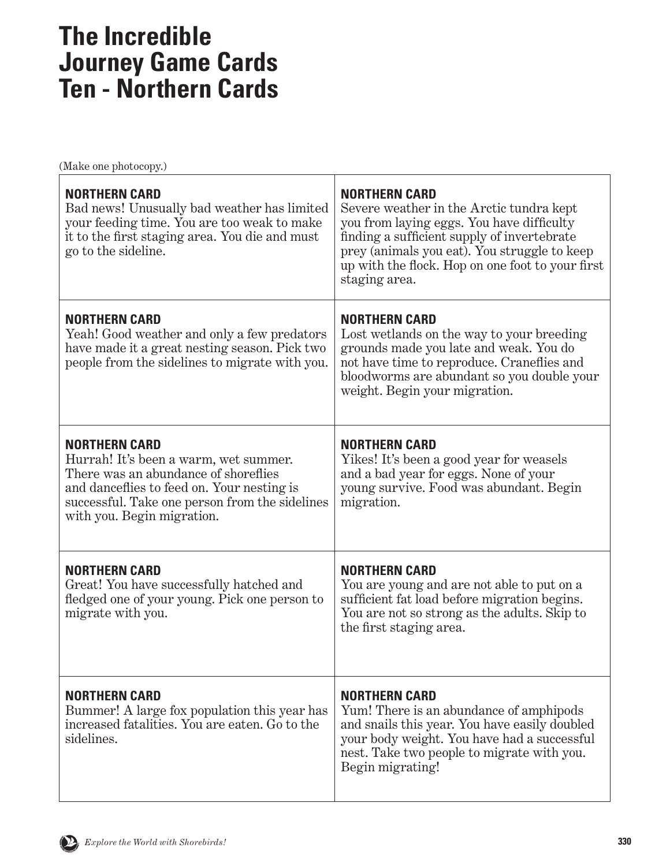# **The Incredible Journey Game Cards Ten - Northern Cards**

| <b>NORTHERN CARD</b><br>Bad news! Unusually bad weather has limited<br>your feeding time. You are too weak to make<br>it to the first staging area. You die and must<br>go to the sideline.                                         | <b>NORTHERN CARD</b><br>Severe weather in the Arctic tundra kept<br>you from laying eggs. You have difficulty<br>finding a sufficient supply of invertebrate<br>prey (animals you eat). You struggle to keep<br>up with the flock. Hop on one foot to your first<br>staging area. |
|-------------------------------------------------------------------------------------------------------------------------------------------------------------------------------------------------------------------------------------|-----------------------------------------------------------------------------------------------------------------------------------------------------------------------------------------------------------------------------------------------------------------------------------|
| <b>NORTHERN CARD</b><br>Yeah! Good weather and only a few predators<br>have made it a great nesting season. Pick two<br>people from the sidelines to migrate with you.                                                              | <b>NORTHERN CARD</b><br>Lost wetlands on the way to your breeding<br>grounds made you late and weak. You do<br>not have time to reproduce. Craneflies and<br>bloodworms are abundant so you double your<br>weight. Begin your migration.                                          |
| <b>NORTHERN CARD</b><br>Hurrah! It's been a warm, wet summer.<br>There was an abundance of shoreflies<br>and danceflies to feed on. Your nesting is<br>successful. Take one person from the sidelines<br>with you. Begin migration. | <b>NORTHERN CARD</b><br>Yikes! It's been a good year for weasels<br>and a bad year for eggs. None of your<br>young survive. Food was abundant. Begin<br>migration.                                                                                                                |
| <b>NORTHERN CARD</b><br>Great! You have successfully hatched and<br>fledged one of your young. Pick one person to<br>migrate with you.                                                                                              | <b>NORTHERN CARD</b><br>You are young and are not able to put on a<br>sufficient fat load before migration begins.<br>You are not so strong as the adults. Skip to<br>the first staging area.                                                                                     |
| <b>NORTHERN CARD</b><br>Bummer! A large fox population this year has<br>increased fatalities. You are eaten, Go to the<br>sidelines.                                                                                                | <b>NORTHERN CARD</b><br>Yum! There is an abundance of amphipods<br>and snails this year. You have easily doubled<br>your body weight. You have had a successful<br>nest. Take two people to migrate with you.<br>Begin migrating!                                                 |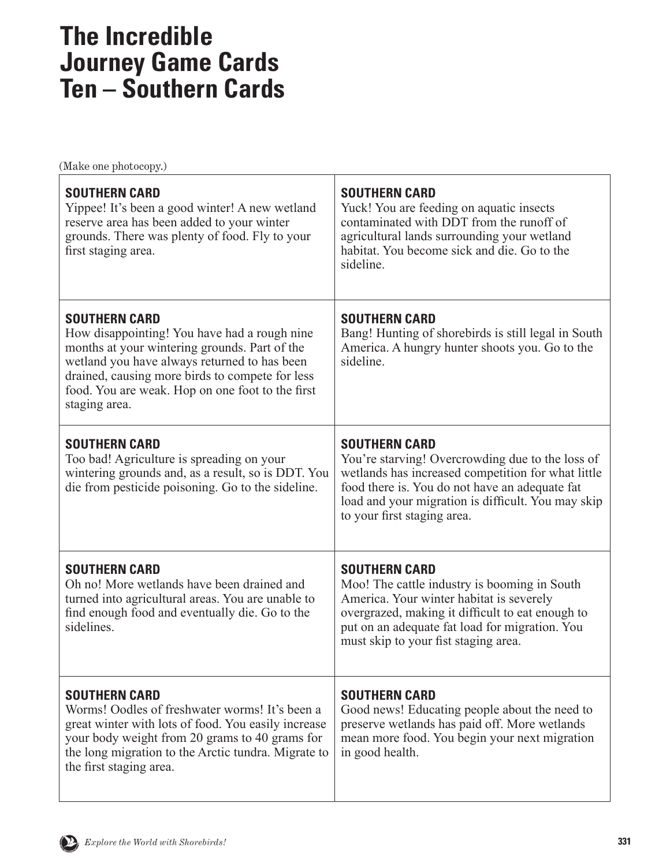# **The Incredible Journey Game Cards Ten – Southern Cards**

| <b>SOUTHERN CARD</b><br>Yippee! It's been a good winter! A new wetland<br>reserve area has been added to your winter<br>grounds. There was plenty of food. Fly to your<br>first staging area.                                                                                                 | <b>SOUTHERN CARD</b><br>Yuck! You are feeding on aquatic insects<br>contaminated with DDT from the runoff of<br>agricultural lands surrounding your wetland<br>habitat. You become sick and die. Go to the<br>sideline.                                               |
|-----------------------------------------------------------------------------------------------------------------------------------------------------------------------------------------------------------------------------------------------------------------------------------------------|-----------------------------------------------------------------------------------------------------------------------------------------------------------------------------------------------------------------------------------------------------------------------|
| <b>SOUTHERN CARD</b><br>How disappointing! You have had a rough nine<br>months at your wintering grounds. Part of the<br>wetland you have always returned to has been<br>drained, causing more birds to compete for less<br>food. You are weak. Hop on one foot to the first<br>staging area. | <b>SOUTHERN CARD</b><br>Bang! Hunting of shorebirds is still legal in South<br>America. A hungry hunter shoots you. Go to the<br>sideline.                                                                                                                            |
| <b>SOUTHERN CARD</b><br>Too bad! Agriculture is spreading on your<br>wintering grounds and, as a result, so is DDT. You<br>die from pesticide poisoning. Go to the sideline.                                                                                                                  | <b>SOUTHERN CARD</b><br>You're starving! Overcrowding due to the loss of<br>wetlands has increased competition for what little<br>food there is. You do not have an adequate fat<br>load and your migration is difficult. You may skip<br>to your first staging area. |
| <b>SOUTHERN CARD</b><br>Oh no! More wetlands have been drained and<br>turned into agricultural areas. You are unable to<br>find enough food and eventually die. Go to the<br>sidelines.                                                                                                       | <b>SOUTHERN CARD</b><br>Moo! The cattle industry is booming in South<br>America. Your winter habitat is severely<br>overgrazed, making it difficult to eat enough to<br>put on an adequate fat load for migration. You<br>must skip to your fist staging area.        |
| <b>SOUTHERN CARD</b><br>Worms! Oodles of freshwater worms! It's been a<br>great winter with lots of food. You easily increase<br>your body weight from 20 grams to 40 grams for<br>the long migration to the Arctic tundra. Migrate to<br>the first staging area.                             | <b>SOUTHERN CARD</b><br>Good news! Educating people about the need to<br>preserve wetlands has paid off. More wetlands<br>mean more food. You begin your next migration<br>in good health.                                                                            |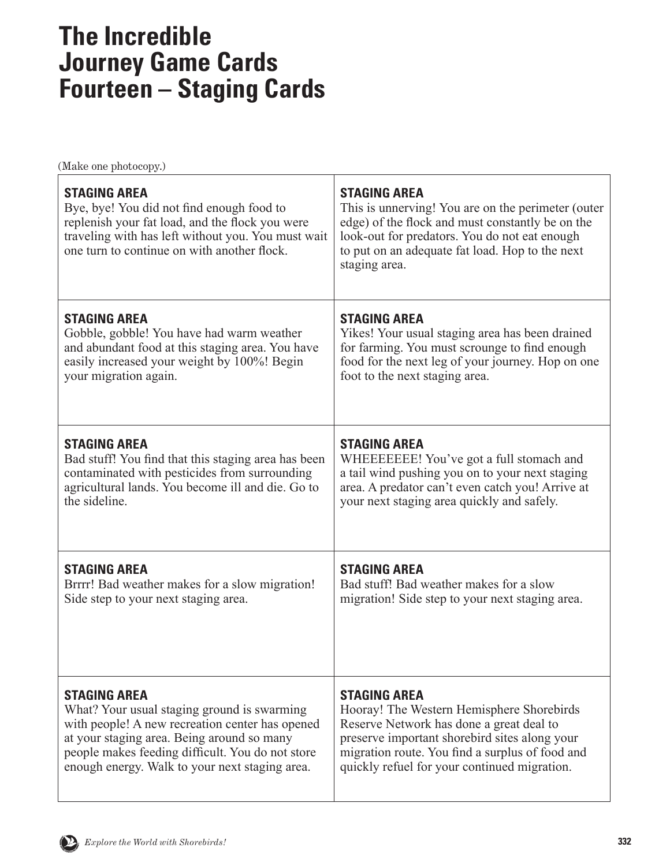# **The Incredible Journey Game Cards Fourteen – Staging Cards**

| <b>STAGING AREA</b><br>Bye, bye! You did not find enough food to<br>replenish your fat load, and the flock you were<br>traveling with has left without you. You must wait<br>one turn to continue on with another flock. | <b>STAGING AREA</b><br>This is unnerving! You are on the perimeter (outer<br>edge) of the flock and must constantly be on the<br>look-out for predators. You do not eat enough<br>to put on an adequate fat load. Hop to the next<br>staging area. |
|--------------------------------------------------------------------------------------------------------------------------------------------------------------------------------------------------------------------------|----------------------------------------------------------------------------------------------------------------------------------------------------------------------------------------------------------------------------------------------------|
| <b>STAGING AREA</b>                                                                                                                                                                                                      | <b>STAGING AREA</b>                                                                                                                                                                                                                                |
| Gobble, gobble! You have had warm weather                                                                                                                                                                                | Yikes! Your usual staging area has been drained                                                                                                                                                                                                    |
| and abundant food at this staging area. You have                                                                                                                                                                         | for farming. You must scrounge to find enough                                                                                                                                                                                                      |
| easily increased your weight by 100%! Begin                                                                                                                                                                              | food for the next leg of your journey. Hop on one                                                                                                                                                                                                  |
| your migration again.                                                                                                                                                                                                    | foot to the next staging area.                                                                                                                                                                                                                     |
| <b>STAGING AREA</b>                                                                                                                                                                                                      | <b>STAGING AREA</b>                                                                                                                                                                                                                                |
| Bad stuff! You find that this staging area has been                                                                                                                                                                      | WHEEEEEEE! You've got a full stomach and                                                                                                                                                                                                           |
| contaminated with pesticides from surrounding                                                                                                                                                                            | a tail wind pushing you on to your next staging                                                                                                                                                                                                    |
| agricultural lands. You become ill and die. Go to                                                                                                                                                                        | area. A predator can't even catch you! Arrive at                                                                                                                                                                                                   |
| the sideline.                                                                                                                                                                                                            | your next staging area quickly and safely.                                                                                                                                                                                                         |
| <b>STAGING AREA</b>                                                                                                                                                                                                      | <b>STAGING AREA</b>                                                                                                                                                                                                                                |
| Brrrr! Bad weather makes for a slow migration!                                                                                                                                                                           | Bad stuff! Bad weather makes for a slow                                                                                                                                                                                                            |
| Side step to your next staging area.                                                                                                                                                                                     | migration! Side step to your next staging area.                                                                                                                                                                                                    |
| <b>STAGING AREA</b>                                                                                                                                                                                                      | <b>STAGING AREA</b>                                                                                                                                                                                                                                |
| What? Your usual staging ground is swarming                                                                                                                                                                              | Hooray! The Western Hemisphere Shorebirds                                                                                                                                                                                                          |
| with people! A new recreation center has opened                                                                                                                                                                          | Reserve Network has done a great deal to                                                                                                                                                                                                           |
| at your staging area. Being around so many                                                                                                                                                                               | preserve important shorebird sites along your                                                                                                                                                                                                      |
| people makes feeding difficult. You do not store                                                                                                                                                                         | migration route. You find a surplus of food and                                                                                                                                                                                                    |
| enough energy. Walk to your next staging area.                                                                                                                                                                           | quickly refuel for your continued migration.                                                                                                                                                                                                       |